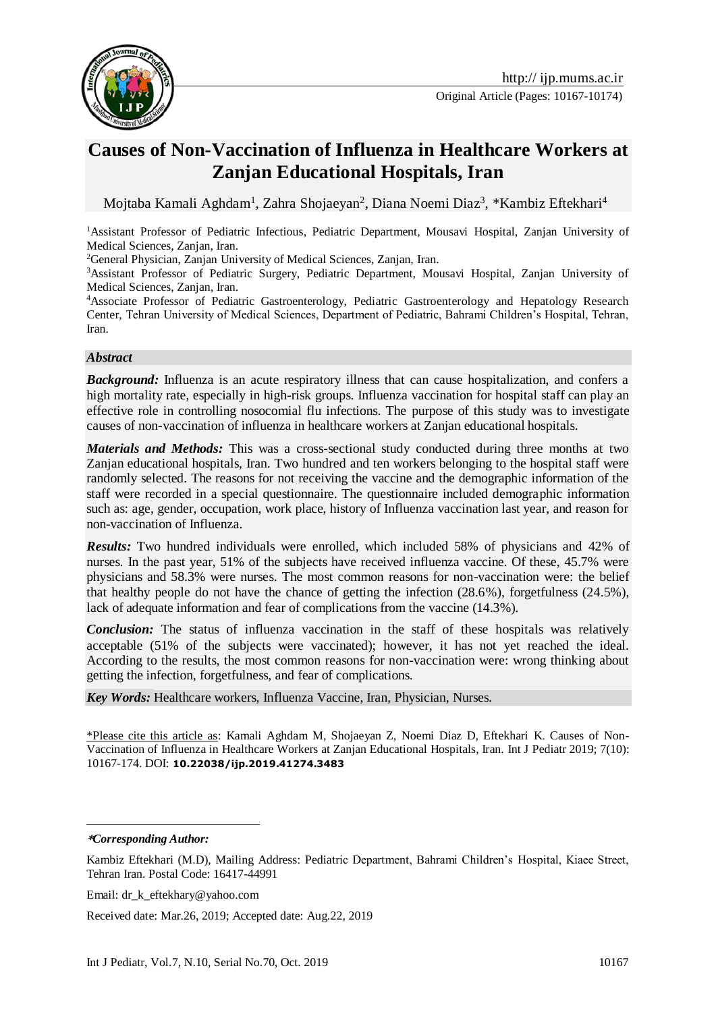

Original Article (Pages: 10167-10174)

# **Causes of Non-Vaccination of Influenza in Healthcare Workers at Zanjan Educational Hospitals, Iran**

Mojtaba Kamali Aghdam<sup>1</sup>, Zahra Shojaeyan<sup>2</sup>, Diana Noemi Diaz<sup>3</sup>, \*Kambiz Eftekhari<sup>4</sup>

<sup>1</sup>Assistant Professor of Pediatric Infectious, Pediatric Department, Mousavi Hospital, Zanjan University of Medical Sciences, Zanjan, Iran.

<sup>2</sup>General Physician, Zanjan University of Medical Sciences, Zanjan, Iran.

<sup>3</sup>Assistant Professor of Pediatric Surgery, Pediatric Department, Mousavi Hospital, Zanjan University of Medical Sciences, Zanjan, Iran.

<sup>4</sup>Associate Professor of Pediatric Gastroenterology, Pediatric Gastroenterology and Hepatology Research Center, Tehran University of Medical Sciences, Department of Pediatric, Bahrami Children's Hospital, Tehran, Iran.

#### *Abstract*

*Background:* Influenza is an acute respiratory illness that can cause hospitalization, and confers a high mortality rate, especially in high-risk groups. Influenza vaccination for hospital staff can play an effective role in controlling nosocomial flu infections. The purpose of this study was to investigate causes of non-vaccination of influenza in healthcare workers at Zanjan educational hospitals.

*Materials and Methods:* This was a cross-sectional study conducted during three months at two Zanjan educational hospitals, Iran. Two hundred and ten workers belonging to the hospital staff were randomly selected. The reasons for not receiving the vaccine and the demographic information of the staff were recorded in a special questionnaire. The questionnaire included demographic information such as: age, gender, occupation, work place, history of Influenza vaccination last year, and reason for non-vaccination of Influenza.

*Results:* Two hundred individuals were enrolled, which included 58% of physicians and 42% of nurses. In the past year, 51% of the subjects have received influenza vaccine. Of these, 45.7% were physicians and 58.3% were nurses. The most common reasons for non-vaccination were: the belief that healthy people do not have the chance of getting the infection (28.6%), forgetfulness (24.5%), lack of adequate information and fear of complications from the vaccine (14.3%).

*Conclusion:* The status of influenza vaccination in the staff of these hospitals was relatively acceptable (51% of the subjects were vaccinated); however, it has not yet reached the ideal. According to the results, the most common reasons for non-vaccination were: wrong thinking about getting the infection, forgetfulness, and fear of complications.

*Key Words:* Healthcare workers, Influenza Vaccine, Iran, Physician, Nurses.

\*Please cite this article as: Kamali Aghdam M, Shojaeyan Z, Noemi Diaz D, Eftekhari K. Causes of Non-Vaccination of Influenza in Healthcare Workers at Zanjan Educational Hospitals, Iran. Int J Pediatr 2019; 7(10): 10167-174. DOI: **10.22038/ijp.2019.41274.3483**

<u>.</u> **\****Corresponding Author:*

Email: dr\_k\_eftekhary@yahoo.com

Received date: Mar.26, 2019; Accepted date: Aug.22, 2019

Kambiz Eftekhari (M.D), Mailing Address: Pediatric Department, Bahrami Children's Hospital, Kiaee Street, Tehran Iran. Postal Code: 16417-44991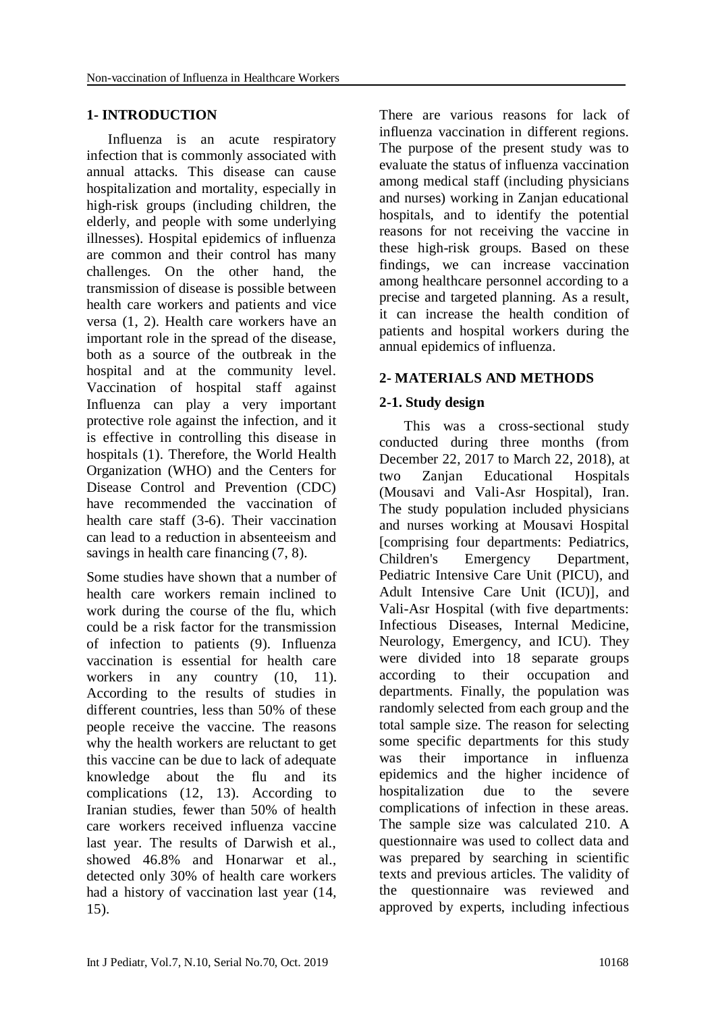#### **1- INTRODUCTION**

 Influenza is an acute respiratory infection that is commonly associated with annual attacks. This disease can cause hospitalization and mortality, especially in high-risk groups (including children, the elderly, and people with some underlying illnesses). Hospital epidemics of influenza are common and their control has many challenges. On the other hand, the transmission of disease is possible between health care workers and patients and vice versa (1, 2). Health care workers have an important role in the spread of the disease, both as a source of the outbreak in the hospital and at the community level. Vaccination of hospital staff against Influenza can play a very important protective role against the infection, and it is effective in controlling this disease in hospitals (1). Therefore, the World Health Organization (WHO) and the Centers for Disease Control and Prevention (CDC) have recommended the vaccination of health care staff (3-6). Their vaccination can lead to a reduction in absenteeism and savings in health care financing (7, 8).

Some studies have shown that a number of health care workers remain inclined to work during the course of the flu, which could be a risk factor for the transmission of infection to patients (9). Influenza vaccination is essential for health care workers in any country  $(10, 11)$ . According to the results of studies in different countries, less than 50% of these people receive the vaccine. The reasons why the health workers are reluctant to get this vaccine can be due to lack of adequate knowledge about the flu and its complications (12, 13). According to Iranian studies, fewer than 50% of health care workers received influenza vaccine last year. The results of Darwish et al., showed 46.8% and Honarwar et al., detected only 30% of health care workers had a history of vaccination last year (14, 15).

There are various reasons for lack of influenza vaccination in different regions. The purpose of the present study was to evaluate the status of influenza vaccination among medical staff (including physicians and nurses) working in Zanjan educational hospitals, and to identify the potential reasons for not receiving the vaccine in these high-risk groups. Based on these findings, we can increase vaccination among healthcare personnel according to a precise and targeted planning. As a result, it can increase the health condition of patients and hospital workers during the annual epidemics of influenza.

# **2- MATERIALS AND METHODS**

## **2-1. Study design**

 This was a cross-sectional study conducted during three months (from December 22, 2017 to March 22, 2018), at two Zanjan Educational Hospitals (Mousavi and Vali-Asr Hospital), Iran. The study population included physicians and nurses working at Mousavi Hospital [comprising four departments: Pediatrics, Children's Emergency Department, Pediatric Intensive Care Unit (PICU), and Adult Intensive Care Unit (ICU)], and Vali-Asr Hospital (with five departments: Infectious Diseases, Internal Medicine, Neurology, Emergency, and ICU). They were divided into 18 separate groups according to their occupation and departments. Finally, the population was randomly selected from each group and the total sample size. The reason for selecting some specific departments for this study was their importance in influenza epidemics and the higher incidence of hospitalization due to the severe complications of infection in these areas. The sample size was calculated 210. A questionnaire was used to collect data and was prepared by searching in scientific texts and previous articles. The validity of the questionnaire was reviewed and approved by experts, including infectious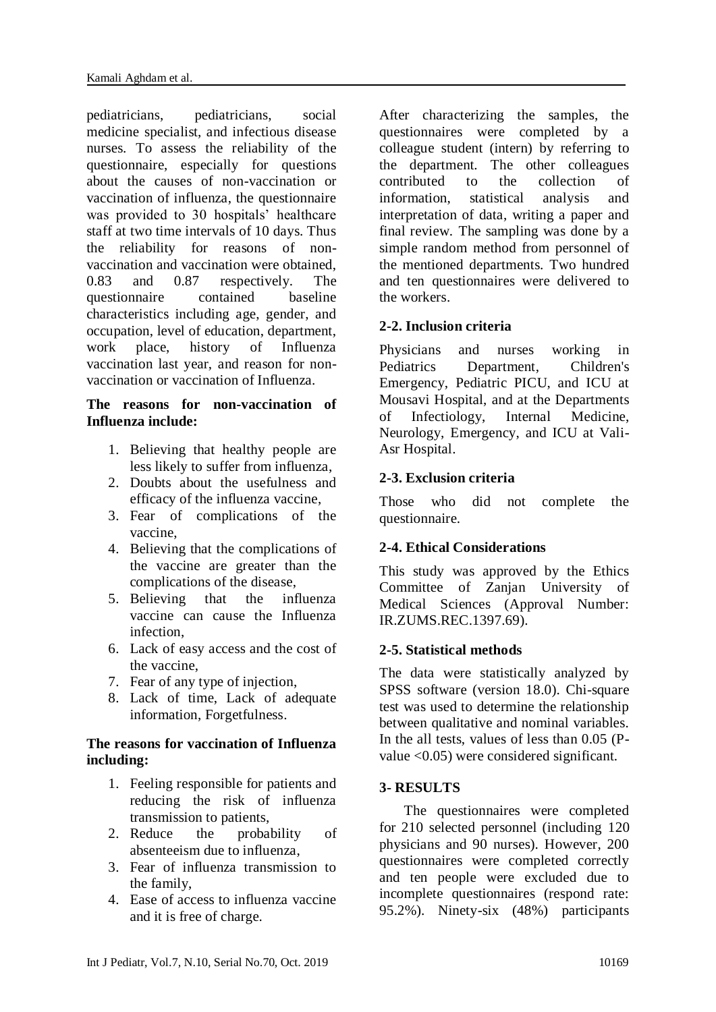pediatricians, pediatricians, social medicine specialist, and infectious disease nurses. To assess the reliability of the questionnaire, especially for questions about the causes of non-vaccination or vaccination of influenza, the questionnaire was provided to 30 hospitals' healthcare staff at two time intervals of 10 days. Thus the reliability for reasons of nonvaccination and vaccination were obtained, 0.83 and 0.87 respectively. The questionnaire contained baseline characteristics including age, gender, and occupation, level of education, department, work place, history of Influenza vaccination last year, and reason for nonvaccination or vaccination of Influenza.

## **The reasons for non-vaccination of Influenza include:**

- 1. Believing that healthy people are less likely to suffer from influenza,
- 2. Doubts about the usefulness and efficacy of the influenza vaccine,
- 3. Fear of complications of the vaccine,
- 4. Believing that the complications of the vaccine are greater than the complications of the disease,
- 5. Believing that the influenza vaccine can cause the Influenza infection,
- 6. Lack of easy access and the cost of the vaccine,
- 7. Fear of any type of injection,
- 8. Lack of time, Lack of adequate information, Forgetfulness.

#### **The reasons for vaccination of Influenza including:**

- 1. Feeling responsible for patients and reducing the risk of influenza transmission to patients,
- 2. Reduce the probability of absenteeism due to influenza,
- 3. Fear of influenza transmission to the family,
- 4. Ease of access to influenza vaccine and it is free of charge.

After characterizing the samples, the questionnaires were completed by a colleague student (intern) by referring to the department. The other colleagues contributed to the collection of information, statistical analysis and interpretation of data, writing a paper and final review. The sampling was done by a simple random method from personnel of the mentioned departments. Two hundred and ten questionnaires were delivered to the workers.

# **2-2. Inclusion criteria**

Physicians and nurses working in Pediatrics Department, Children's Emergency, Pediatric PICU, and ICU at Mousavi Hospital, and at the Departments of Infectiology, Internal Medicine, Neurology, Emergency, and ICU at Vali-Asr Hospital.

# **2-3. Exclusion criteria**

Those who did not complete the questionnaire.

## **2-4. Ethical Considerations**

This study was approved by the Ethics Committee of Zanjan University of Medical Sciences (Approval Number: IR.ZUMS.REC.1397.69).

## **2-5. Statistical methods**

The data were statistically analyzed by SPSS software (version 18.0). Chi-square test was used to determine the relationship between qualitative and nominal variables. In the all tests, values of less than 0.05 (Pvalue <0.05) were considered significant.

## **3- RESULTS**

 The questionnaires were completed for 210 selected personnel (including 120 physicians and 90 nurses). However, 200 questionnaires were completed correctly and ten people were excluded due to incomplete questionnaires (respond rate: 95.2%). Ninety-six (48%) participants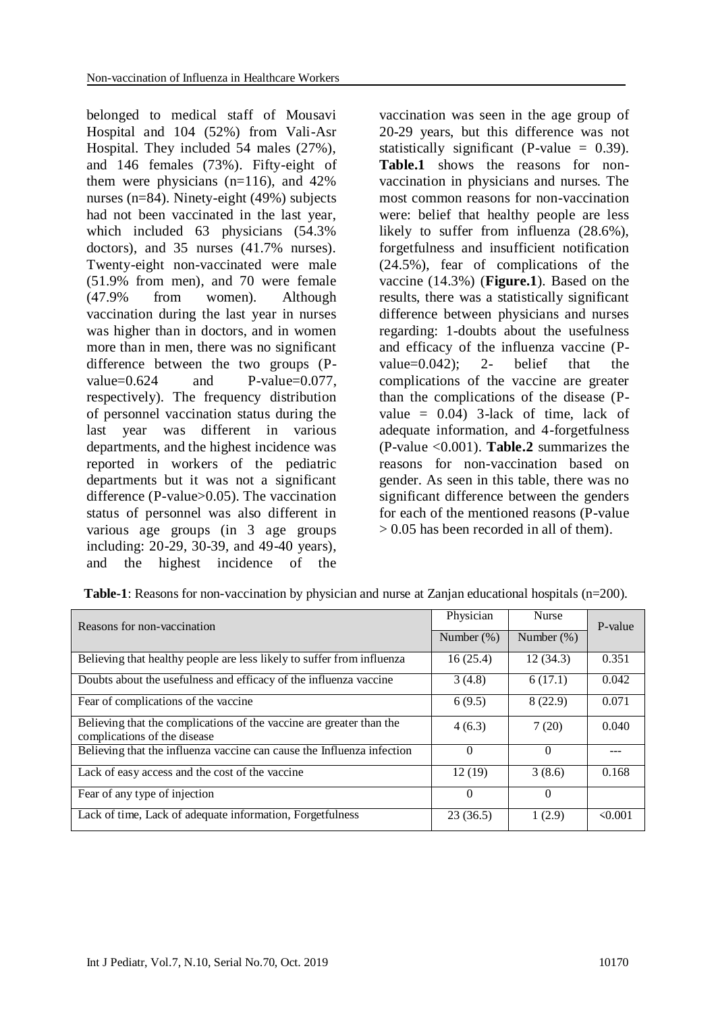belonged to medical staff of Mousavi Hospital and 104 (52%) from Vali-Asr Hospital. They included 54 males (27%), and 146 females (73%). Fifty-eight of them were physicians  $(n=116)$ , and  $42\%$ nurses (n=84). Ninety-eight (49%) subjects had not been vaccinated in the last year, which included 63 physicians (54.3% doctors), and 35 nurses (41.7% nurses). Twenty-eight non-vaccinated were male (51.9% from men), and 70 were female (47.9% from women). Although vaccination during the last year in nurses was higher than in doctors, and in women more than in men, there was no significant difference between the two groups (Pvalue=0.624 and P-value=0.077, respectively). The frequency distribution of personnel vaccination status during the last year was different in various departments, and the highest incidence was reported in workers of the pediatric departments but it was not a significant difference (P-value>0.05). The vaccination status of personnel was also different in various age groups (in 3 age groups including: 20-29, 30-39, and 49-40 years), and the highest incidence of the

vaccination was seen in the age group of 20-29 years, but this difference was not statistically significant (P-value  $= 0.39$ ). **Table.1** shows the reasons for nonvaccination in physicians and nurses. The most common reasons for non-vaccination were: belief that healthy people are less likely to suffer from influenza (28.6%), forgetfulness and insufficient notification (24.5%), fear of complications of the vaccine (14.3%) (**Figure.1**). Based on the results, there was a statistically significant difference between physicians and nurses regarding: 1-doubts about the usefulness and efficacy of the influenza vaccine (Pvalue=0.042); 2- belief that the complications of the vaccine are greater than the complications of the disease (Pvalue  $= 0.04$ ) 3-lack of time, lack of adequate information, and 4-forgetfulness (P-value <0.001). **Table.2** summarizes the reasons for non-vaccination based on gender. As seen in this table, there was no significant difference between the genders for each of the mentioned reasons (P-value > 0.05 has been recorded in all of them).

| Reasons for non-vaccination                                                                          | Physician     | <b>Nurse</b>  | P-value      |
|------------------------------------------------------------------------------------------------------|---------------|---------------|--------------|
|                                                                                                      | Number $(\%)$ | Number $(\%)$ |              |
| Believing that healthy people are less likely to suffer from influenza                               | 16(25.4)      | 12(34.3)      | 0.351        |
| Doubts about the usefulness and efficacy of the influenza vaccine                                    | 3(4.8)        | 6(17.1)       | 0.042        |
| Fear of complications of the vaccine                                                                 | 6(9.5)        | 8(22.9)       | 0.071        |
| Believing that the complications of the vaccine are greater than the<br>complications of the disease | 4(6.3)        | 7(20)         | 0.040        |
| Believing that the influenza vaccine can cause the Influenza infection                               | $\Omega$      | $\theta$      |              |
| Lack of easy access and the cost of the vaccine                                                      | 12(19)        | 3(8.6)        | 0.168        |
| Fear of any type of injection                                                                        | $\Omega$      | $\theta$      |              |
| Lack of time, Lack of adequate information, Forgetfulness                                            | 23(36.5)      | 1(2.9)        | $\leq 0.001$ |

**Table-1**: Reasons for non-vaccination by physician and nurse at Zanjan educational hospitals (n=200).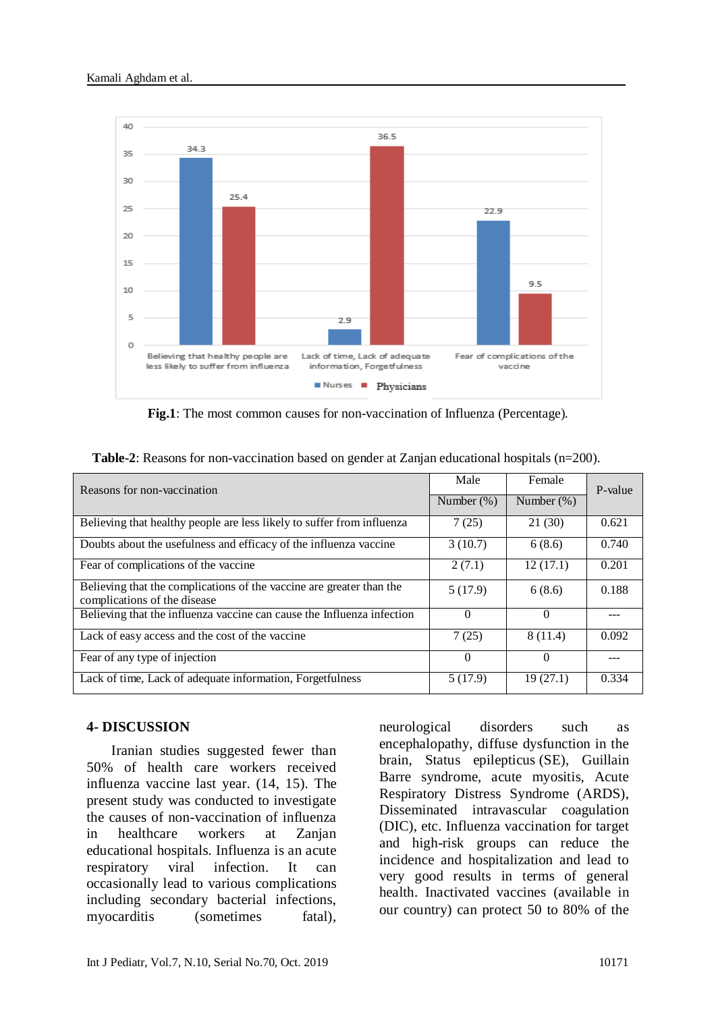

**Fig.1**: The most common causes for non-vaccination of Influenza (Percentage).

| Reasons for non-vaccination                                                                          | Male          | Female        | P-value |
|------------------------------------------------------------------------------------------------------|---------------|---------------|---------|
|                                                                                                      | Number $(\%)$ | Number $(\%)$ |         |
| Believing that healthy people are less likely to suffer from influenza                               | 7(25)         | 21(30)        | 0.621   |
| Doubts about the usefulness and efficacy of the influenza vaccine                                    | 3(10.7)       | 6(8.6)        | 0.740   |
| Fear of complications of the vaccine                                                                 | 2(7.1)        | 12(17.1)      | 0.201   |
| Believing that the complications of the vaccine are greater than the<br>complications of the disease | 5(17.9)       | 6(8.6)        | 0.188   |
| Believing that the influenza vaccine can cause the Influenza infection                               | $\Omega$      | $\Omega$      |         |
| Lack of easy access and the cost of the vaccine                                                      | 7(25)         | 8(11.4)       | 0.092   |
| Fear of any type of injection                                                                        | $\Omega$      | $\Omega$      |         |
| Lack of time, Lack of adequate information, Forgetfulness                                            | 5(17.9)       | 19(27.1)      | 0.334   |

**Table-2:** Reasons for non-vaccination based on gender at Zanjan educational hospitals (n=200).

#### **4- DISCUSSION**

 Iranian studies suggested fewer than 50% of health care workers received influenza vaccine last year. (14, 15). The present study was conducted to investigate the causes of non-vaccination of influenza in healthcare workers at Zanjan educational hospitals. Influenza is an acute respiratory viral infection. It can occasionally lead to various complications including secondary bacterial infections, myocarditis (sometimes fatal),

neurological disorders such as encephalopathy, diffuse dysfunction in the brain, Status epilepticus (SE), Guillain Barre syndrome, acute myositis, Acute Respiratory Distress Syndrome (ARDS), Disseminated intravascular coagulation (DIC), etc. Influenza vaccination for target and high-risk groups can reduce the incidence and hospitalization and lead to very good results in terms of general health. Inactivated vaccines (available in our country) can protect 50 to 80% of the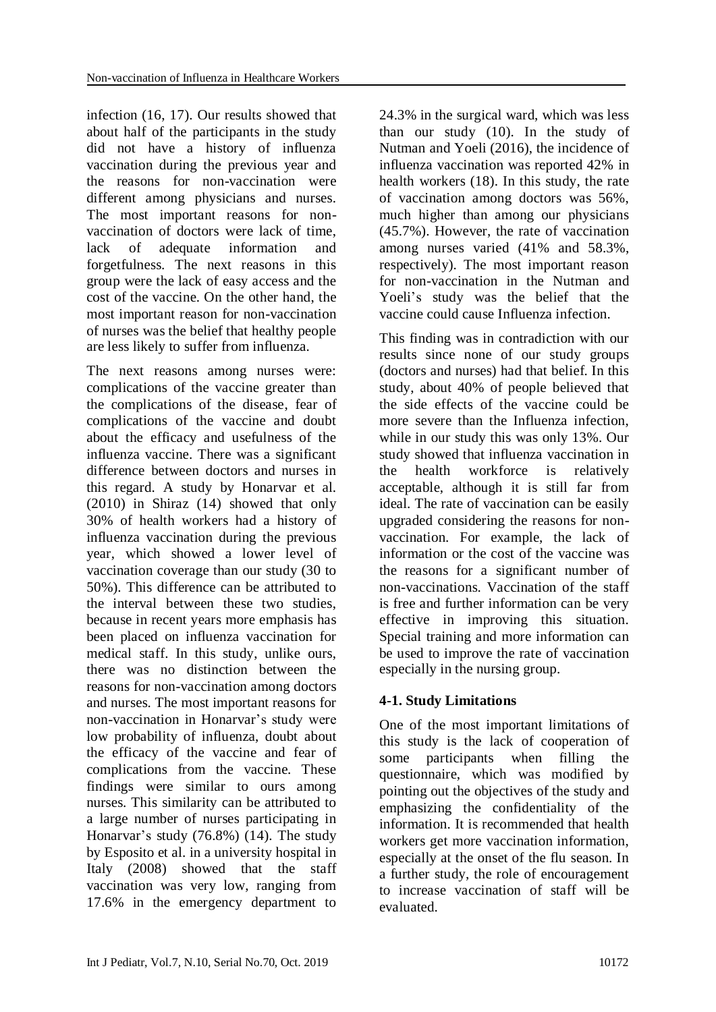infection (16, 17). Our results showed that about half of the participants in the study did not have a history of influenza vaccination during the previous year and the reasons for non-vaccination were different among physicians and nurses. The most important reasons for nonvaccination of doctors were lack of time, lack of adequate information and forgetfulness. The next reasons in this group were the lack of easy access and the cost of the vaccine. On the other hand, the most important reason for non-vaccination of nurses was the belief that healthy people are less likely to suffer from influenza.

The next reasons among nurses were: complications of the vaccine greater than the complications of the disease, fear of complications of the vaccine and doubt about the efficacy and usefulness of the influenza vaccine. There was a significant difference between doctors and nurses in this regard. A study by Honarvar et al. (2010) in Shiraz (14) showed that only 30% of health workers had a history of influenza vaccination during the previous year, which showed a lower level of vaccination coverage than our study (30 to 50%). This difference can be attributed to the interval between these two studies, because in recent years more emphasis has been placed on influenza vaccination for medical staff. In this study, unlike ours, there was no distinction between the reasons for non-vaccination among doctors and nurses. The most important reasons for non-vaccination in Honarvar's study were low probability of influenza, doubt about the efficacy of the vaccine and fear of complications from the vaccine. These findings were similar to ours among nurses. This similarity can be attributed to a large number of nurses participating in Honarvar's study (76.8%) (14). The study by Esposito et al. in a university hospital in Italy (2008) showed that the staff vaccination was very low, ranging from 17.6% in the emergency department to

24.3% in the surgical ward, which was less than our study (10). In the study of Nutman and Yoeli (2016), the incidence of influenza vaccination was reported 42% in health workers (18). In this study, the rate of vaccination among doctors was 56%, much higher than among our physicians (45.7%). However, the rate of vaccination among nurses varied (41% and 58.3%, respectively). The most important reason for non-vaccination in the Nutman and Yoeli's study was the belief that the vaccine could cause Influenza infection.

This finding was in contradiction with our results since none of our study groups (doctors and nurses) had that belief. In this study, about 40% of people believed that the side effects of the vaccine could be more severe than the Influenza infection, while in our study this was only 13%. Our study showed that influenza vaccination in the health workforce is relatively acceptable, although it is still far from ideal. The rate of vaccination can be easily upgraded considering the reasons for nonvaccination. For example, the lack of information or the cost of the vaccine was the reasons for a significant number of non-vaccinations. Vaccination of the staff is free and further information can be very effective in improving this situation. Special training and more information can be used to improve the rate of vaccination especially in the nursing group.

# **4-1. Study Limitations**

One of the most important limitations of this study is the lack of cooperation of some participants when filling the questionnaire, which was modified by pointing out the objectives of the study and emphasizing the confidentiality of the information. It is recommended that health workers get more vaccination information, especially at the onset of the flu season. In a further study, the role of encouragement to increase vaccination of staff will be evaluated.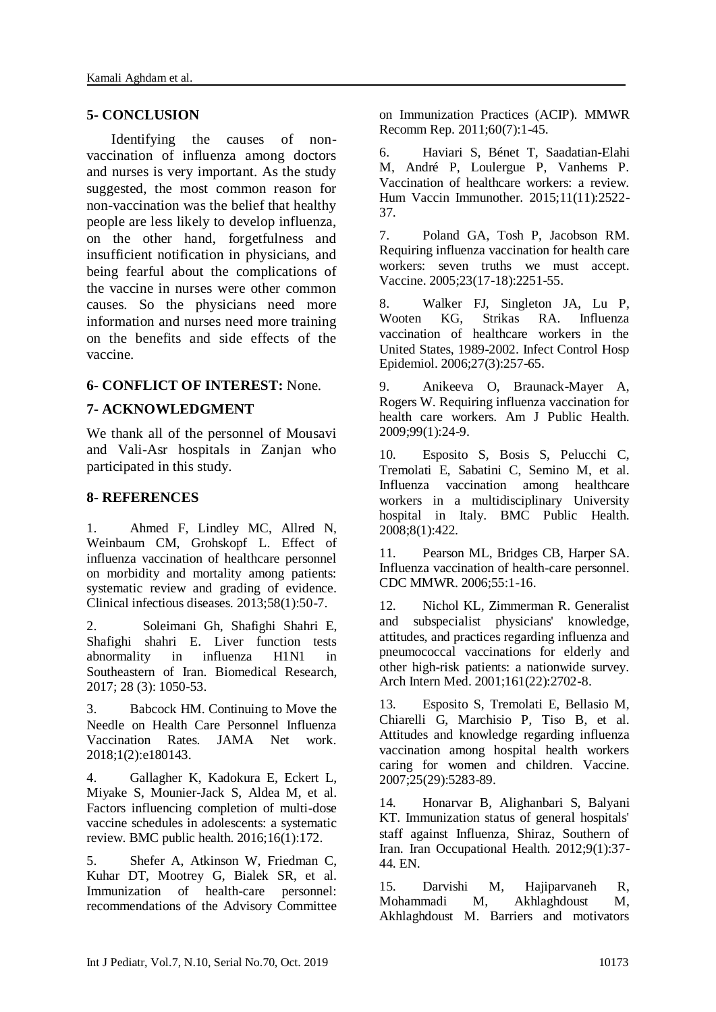#### **5- CONCLUSION**

 Identifying the causes of nonvaccination of influenza among doctors and nurses is very important. As the study suggested, the most common reason for non-vaccination was the belief that healthy people are less likely to develop influenza, on the other hand, forgetfulness and insufficient notification in physicians, and being fearful about the complications of the vaccine in nurses were other common causes. So the physicians need more information and nurses need more training on the benefits and side effects of the vaccine.

#### **6- CONFLICT OF INTEREST:** None.

#### **7- ACKNOWLEDGMENT**

We thank all of the personnel of Mousavi and Vali-Asr hospitals in Zanjan who participated in this study.

#### **8- REFERENCES**

1. Ahmed F, Lindley MC, Allred N, Weinbaum CM, Grohskopf L. Effect of influenza vaccination of healthcare personnel on morbidity and mortality among patients: systematic review and grading of evidence. Clinical infectious diseases. 2013;58(1):50-7.

2. Soleimani Gh, Shafighi Shahri E, Shafighi shahri E. Liver function tests abnormality in influenza H1N1 in Southeastern of Iran. Biomedical Research, 2017; 28 (3): 1050-53.

3. Babcock HM. Continuing to Move the Needle on Health Care Personnel Influenza Vaccination Rates. JAMA Net work. 2018;1(2):e180143.

4. Gallagher K, Kadokura E, Eckert L, Miyake S, Mounier-Jack S, Aldea M, et al. Factors influencing completion of multi-dose vaccine schedules in adolescents: a systematic review. BMC public health. 2016;16(1):172.

5. Shefer A, Atkinson W, Friedman C, Kuhar DT, Mootrey G, Bialek SR, et al. Immunization of health-care personnel: recommendations of the Advisory Committee on Immunization Practices (ACIP). MMWR Recomm Rep. 2011;60(7):1-45.

6. Haviari S, Bénet T, Saadatian-Elahi M, André P, Loulergue P, Vanhems P. Vaccination of healthcare workers: a review. Hum Vaccin Immunother. 2015;11(11):2522- 37.

7. Poland GA, Tosh P, Jacobson RM. Requiring influenza vaccination for health care workers: seven truths we must accept. Vaccine. 2005;23(17-18):2251-55.

8. Walker FJ, Singleton JA, Lu P, Wooten KG, Strikas RA. Influenza vaccination of healthcare workers in the United States, 1989-2002. Infect Control Hosp Epidemiol. 2006;27(3):257-65.

9. Anikeeva O, Braunack-Mayer A, Rogers W. Requiring influenza vaccination for health care workers. Am J Public Health. 2009;99(1):24-9.

10. Esposito S, Bosis S, Pelucchi C, Tremolati E, Sabatini C, Semino M, et al. Influenza vaccination among healthcare workers in a multidisciplinary University hospital in Italy. BMC Public Health. 2008;8(1):422.

11. Pearson ML, Bridges CB, Harper SA. Influenza vaccination of health-care personnel. CDC MMWR. 2006;55:1-16.

12. Nichol KL, Zimmerman R. Generalist and subspecialist physicians' knowledge, attitudes, and practices regarding influenza and pneumococcal vaccinations for elderly and other high-risk patients: a nationwide survey. Arch Intern Med. 2001;161(22):2702-8.

13. Esposito S, Tremolati E, Bellasio M, Chiarelli G, Marchisio P, Tiso B, et al. Attitudes and knowledge regarding influenza vaccination among hospital health workers caring for women and children. Vaccine. 2007;25(29):5283-89.

14. Honarvar B, Alighanbari S, Balyani KT. Immunization status of general hospitals' staff against Influenza, Shiraz, Southern of Iran. Iran Occupational Health. 2012;9(1):37- 44. EN.

15. Darvishi M, Hajiparvaneh R, Mohammadi M, Akhlaghdoust M, Akhlaghdoust M. Barriers and motivators